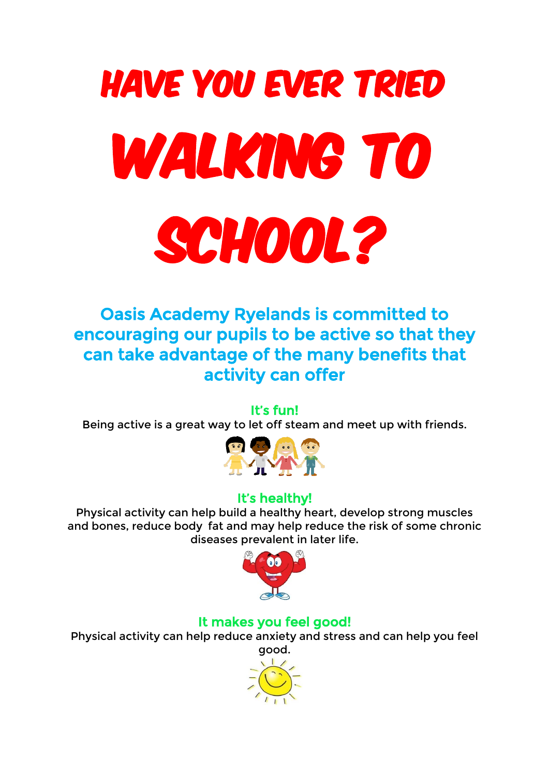# Have you ever tried WALKING TO SCHOOL?

Oasis Academy Ryelands is committed to encouraging our pupils to be active so that they can take advantage of the many benefits that activity can offer

#### It's fun!

Being active is a great way to let off steam and meet up with friends.



#### It's healthy!

Physical activity can help build a healthy heart, develop strong muscles and bones, reduce body fat and may help reduce the risk of some chronic diseases prevalent in later life.



#### It makes you feel good!

Physical activity can help reduce anxiety and stress and can help you feel good.

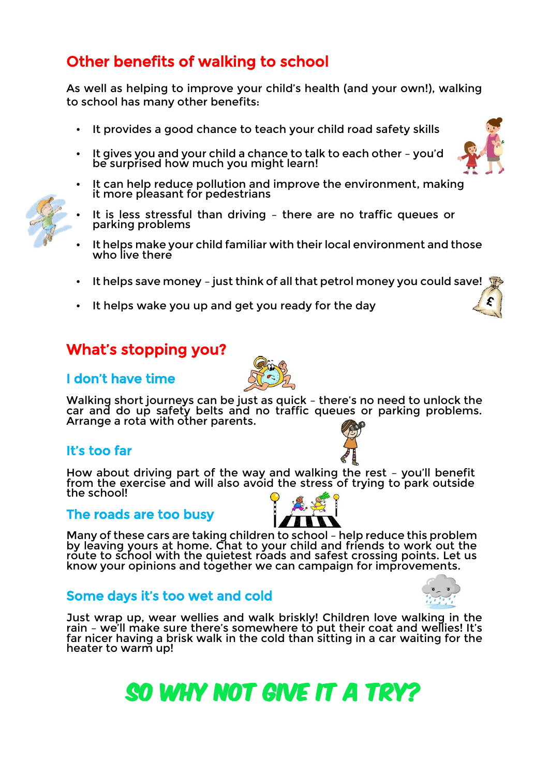# Other benefits of walking to school

As well as helping to improve your child's health (and your own!), walking to school has many other benefits:

- It provides a good chance to teach your child road safety skills
- It gives you and your child a chance to talk to each other you'd be surprised how much you might learn!
- It can help reduce pollution and improve the environment, making it more pleasant for pedestrians
- It is less stressful than driving there are no traffic queues or parking problems
- It helps make your child familiar with their local environment and those who live there
- It helps save money just think of all that petrol money you could save!
- It helps wake you up and get you ready for the day

### What's stopping you?

#### I don't have time

Walking short journeys can be just as quick – there's no need to unlock the car and do up safety belts and no traffic queues or parking problems. Arrange a rota with other parents.

#### It's too far

How about driving part of the way and walking the rest – you'll benefit from the exercise and will also avoid the stress of trying to park outside the school!

#### $\overline{a}$ The roads are too busy



#### Some days it's too wet and cold

Just wrap up, wear wellies and walk briskly! Children love walking in the rain – we'll make sure there's somewhere to put their coat and wellies! It's far nicer having a brisk walk in the cold than sitting in a car waiting for the heater to warm up!







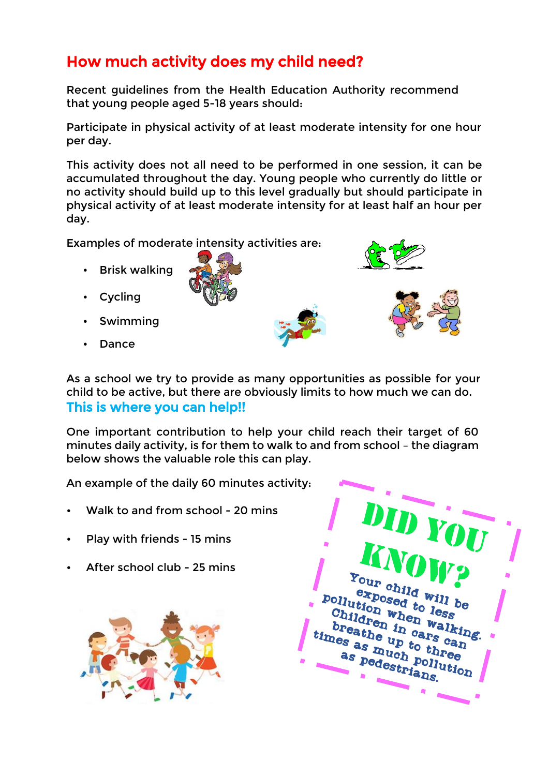# How much activity does my child need?

Recent guidelines from the Health Education Authority recommend that young people aged 5-18 years should:

Participate in physical activity of at least moderate intensity for one hour per day.

This activity does not all need to be performed in one session, it can be accumulated throughout the day. Young people who currently do little or no activity should build up to this level gradually but should participate in physical activity of at least moderate intensity for at least half an hour per day.

Examples of moderate intensity activities are:

- Brisk walking
- Cycling
- Swimming
- Dance







One important contribution to help your child reach their target of 60 minutes daily activity, is for them to walk to and from school – the diagram below shows the valuable role this can play.

An example of the daily 60 minutes activity:

- Walk to and from school 20 mins
- Play with friends 15 mins
- After school club 25 mins